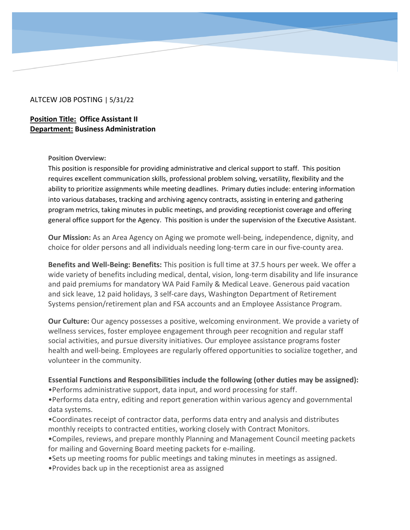### ALTCEW JOB POSTING | 5/31/22

# **Position Title: Office Assistant II Department: Business Administration**

#### **Position Overview:**

This position is responsible for providing administrative and clerical support to staff. This position requires excellent communication skills, professional problem solving, versatility, flexibility and the ability to prioritize assignments while meeting deadlines. Primary duties include: entering information into various databases, tracking and archiving agency contracts, assisting in entering and gathering program metrics, taking minutes in public meetings, and providing receptionist coverage and offering general office support for the Agency. This position is under the supervision of the Executive Assistant.

**Our Mission:** As an Area Agency on Aging we promote well-being, independence, dignity, and choice for older persons and all individuals needing long-term care in our five-county area.

**Benefits and Well-Being: Benefits:** This position is full time at 37.5 hours per week. We offer a wide variety of benefits including medical, dental, vision, long-term disability and life insurance and paid premiums for mandatory WA Paid Family & Medical Leave. Generous paid vacation and sick leave, 12 paid holidays, 3 self-care days, Washington Department of Retirement Systems pension/retirement plan and FSA accounts and an Employee Assistance Program.

**Our Culture:** Our agency possesses a positive, welcoming environment. We provide a variety of wellness services, foster employee engagement through peer recognition and regular staff social activities, and pursue diversity initiatives. Our employee assistance programs foster health and well-being. Employees are regularly offered opportunities to socialize together, and volunteer in the community.

### **Essential Functions and Responsibilities include the following (other duties may be assigned):**

•Performs administrative support, data input, and word processing for staff.

•Performs data entry, editing and report generation within various agency and governmental data systems.

•Coordinates receipt of contractor data, performs data entry and analysis and distributes monthly receipts to contracted entities, working closely with Contract Monitors.

•Compiles, reviews, and prepare monthly Planning and Management Council meeting packets for mailing and Governing Board meeting packets for e-mailing.

•Sets up meeting rooms for public meetings and taking minutes in meetings as assigned.

•Provides back up in the receptionist area as assigned